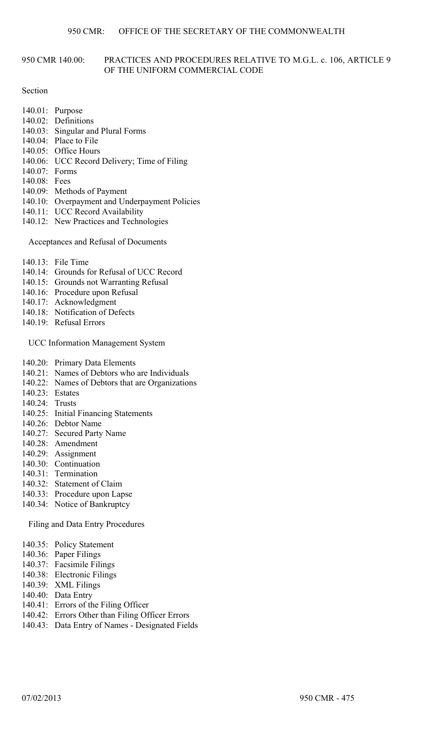# 950 CMR 140.00: PRACTICES AND PROCEDURES RELATIVE TO M.G.L. c. 106, ARTICLE 9 OF THE UNIFORM COMMERCIAL CODE

# Section

- 140.01: Purpose
- 140.02: Definitions
- 140.03: Singular and Plural Forms
- 140.04: Place to File
- 140.05: Office Hours
- 140.06: UCC Record Delivery; Time of Filing
- 140.07: Forms
- 140.08: Fees
- 140.09: Methods of Payment
- 140.10: Overpayment and Underpayment Policies
- 140.11: UCC Record Availability
- 140.12: New Practices and Technologies

Acceptances and Refusal of Documents

- 140.13: File Time
- 140.14: Grounds for Refusal of UCC Record
- 140.15: Grounds not Warranting Refusal
- 140.16: Procedure upon Refusal
- 140.17: Acknowledgment
- 140.18: Notification of Defects
- 140.19: Refusal Errors

UCC Information Management System

- 140.20: Primary Data Elements
- 140.21: Names of Debtors who are Individuals
- 140.22: Names of Debtors that are Organizations
- 140.23: Estates
- 140.24: Trusts
- 140.25: Initial Financing Statements
- 140.26: Debtor Name
- 140.27: Secured Party Name
- 140.28: Amendment
- 140.29: Assignment
- 140.30: Continuation
- 140.31: Termination
- 140.32: Statement of Claim
- 140.33: Procedure upon Lapse
- 140.34: Notice of Bankruptcy

Filing and Data Entry Procedures

- 140.35: Policy Statement
- 140.36: Paper Filings
- 140.37: Facsimile Filings
- 140.38: Electronic Filings
- 140.39: XML Filings
- 140.40: Data Entry
- 140.41: Errors of the Filing Officer
- 140.42: Errors Other than Filing Officer Errors
- 140.43: Data Entry of Names Designated Fields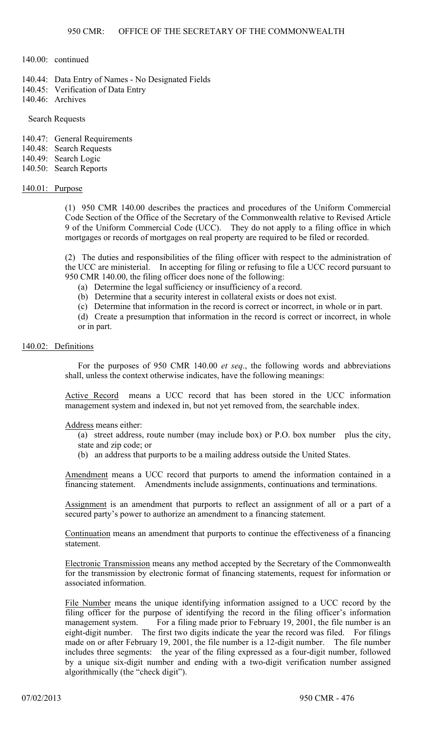### 140.00: continued

- 140.44: Data Entry of Names No Designated Fields
- 140.45: Verification of Data Entry
- 140.46: Archives

# Search Requests

- 140.47: General Requirements
- 140.48: Search Requests
- 140.49: Search Logic
- 140.50: Search Reports

# 140.01: Purpose

(1) 950 CMR 140.00 describes the practices and procedures of the Uniform Commercial Code Section of the Office of the Secretary of the Commonwealth relative to Revised Article 9 of the Uniform Commercial Code (UCC). They do not apply to a filing office in which mortgages or records of mortgages on real property are required to be filed or recorded.

(2) The duties and responsibilities of the filing officer with respect to the administration of the UCC are ministerial. In accepting for filing or refusing to file a UCC record pursuant to 950 CMR 140.00, the filing officer does none of the following:

- (a) Determine the legal sufficiency or insufficiency of a record.
- (b) Determine that a security interest in collateral exists or does not exist.
- (c) Determine that information in the record is correct or incorrect, in whole or in part.
- (d) Create a presumption that information in the record is correct or incorrect, in whole or in part.

# 140.02: Definitions

For the purposes of 950 CMR 140.00 *et seq*., the following words and abbreviations shall, unless the context otherwise indicates, have the following meanings:

Active Record means a UCC record that has been stored in the UCC information management system and indexed in, but not yet removed from, the searchable index.

# Address means either:

(a) street address, route number (may include box) or P.O. box number plus the city, state and zip code; or

(b) an address that purports to be a mailing address outside the United States.

Amendment means a UCC record that purports to amend the information contained in a financing statement. Amendments include assignments, continuations and terminations.

Assignment is an amendment that purports to reflect an assignment of all or a part of a secured party's power to authorize an amendment to a financing statement.

Continuation means an amendment that purports to continue the effectiveness of a financing statement.

Electronic Transmission means any method accepted by the Secretary of the Commonwealth for the transmission by electronic format of financing statements, request for information or associated information.

File Number means the unique identifying information assigned to a UCC record by the filing officer for the purpose of identifying the record in the filing officer's information management system. For a filing made prior to February 19, 2001, the file number is an eight-digit number. The first two digits indicate the year the record was filed. For filings made on or after February 19, 2001, the file number is a 12-digit number. The file number includes three segments: the year of the filing expressed as a four-digit number, followed by a unique six-digit number and ending with a two-digit verification number assigned algorithmically (the "check digit").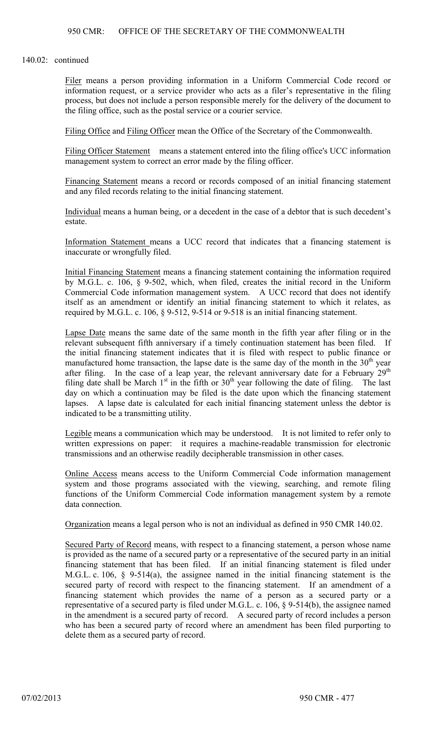### 140.02: continued

Filer means a person providing information in a Uniform Commercial Code record or information request, or a service provider who acts as a filer's representative in the filing process, but does not include a person responsible merely for the delivery of the document to the filing office, such as the postal service or a courier service.

Filing Office and Filing Officer mean the Office of the Secretary of the Commonwealth.

Filing Officer Statement means a statement entered into the filing office's UCC information management system to correct an error made by the filing officer.

Financing Statement means a record or records composed of an initial financing statement and any filed records relating to the initial financing statement.

Individual means a human being, or a decedent in the case of a debtor that is such decedent's estate.

Information Statement means a UCC record that indicates that a financing statement is inaccurate or wrongfully filed.

Initial Financing Statement means a financing statement containing the information required by M.G.L. c. 106, § 9-502, which, when filed, creates the initial record in the Uniform Commercial Code information management system. A UCC record that does not identify itself as an amendment or identify an initial financing statement to which it relates, as required by M.G.L. c. 106,  $\S$  9-512, 9-514 or 9-518 is an initial financing statement.

Lapse Date means the same date of the same month in the fifth year after filing or in the relevant subsequent fifth anniversary if a timely continuation statement has been filed. If the initial financing statement indicates that it is filed with respect to public finance or manufactured home transaction, the lapse date is the same day of the month in the  $30<sup>th</sup>$  year after filing. In the case of a leap year, the relevant anniversary date for a February  $29<sup>th</sup>$ filing date shall be March  $1<sup>st</sup>$  in the fifth or  $30<sup>th</sup>$  year following the date of filing. The last day on which a continuation may be filed is the date upon which the financing statement lapses. A lapse date is calculated for each initial financing statement unless the debtor is indicated to be a transmitting utility.

Legible means a communication which may be understood. It is not limited to refer only to written expressions on paper: it requires a machine-readable transmission for electronic transmissions and an otherwise readily decipherable transmission in other cases.

Online Access means access to the Uniform Commercial Code information management system and those programs associated with the viewing, searching, and remote filing functions of the Uniform Commercial Code information management system by a remote data connection.

Organization means a legal person who is not an individual as defined in 950 CMR 140.02.

Secured Party of Record means, with respect to a financing statement, a person whose name is provided as the name of a secured party or a representative of the secured party in an initial financing statement that has been filed. If an initial financing statement is filed under M.G.L. c. 106, § 9-514(a), the assignee named in the initial financing statement is the secured party of record with respect to the financing statement. If an amendment of a financing statement which provides the name of a person as a secured party or a representative of a secured party is filed under M.G.L. c. 106, § 9-514(b), the assignee named in the amendment is a secured party of record. A secured party of record includes a person who has been a secured party of record where an amendment has been filed purporting to delete them as a secured party of record.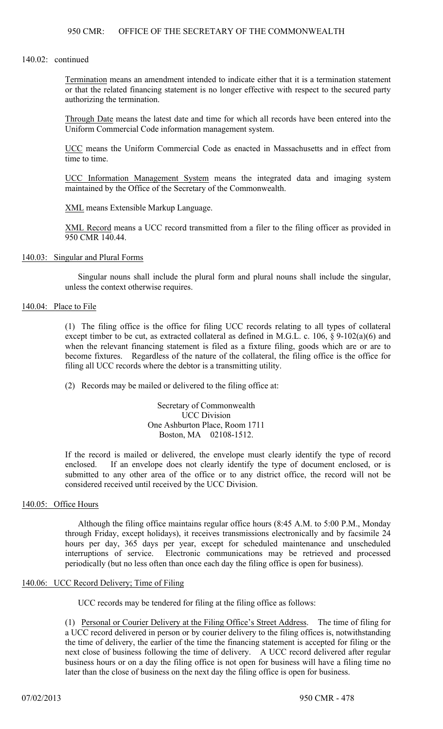#### 140.02: continued

Termination means an amendment intended to indicate either that it is a termination statement or that the related financing statement is no longer effective with respect to the secured party authorizing the termination.

Through Date means the latest date and time for which all records have been entered into the Uniform Commercial Code information management system.

UCC means the Uniform Commercial Code as enacted in Massachusetts and in effect from time to time.

UCC Information Management System means the integrated data and imaging system maintained by the Office of the Secretary of the Commonwealth.

XML means Extensible Markup Language.

XML Record means a UCC record transmitted from a filer to the filing officer as provided in 950 CMR 140.44.

### 140.03: Singular and Plural Forms

Singular nouns shall include the plural form and plural nouns shall include the singular, unless the context otherwise requires.

# 140.04: Place to File

(1) The filing office is the office for filing UCC records relating to all types of collateral except timber to be cut, as extracted collateral as defined in M.G.L. c. 106,  $\S$  9-102(a)(6) and when the relevant financing statement is filed as a fixture filing, goods which are or are to become fixtures. Regardless of the nature of the collateral, the filing office is the office for filing all UCC records where the debtor is a transmitting utility.

(2) Records may be mailed or delivered to the filing office at:

Secretary of Commonwealth UCC Division One Ashburton Place, Room 1711 Boston, MA 02108-1512.

If the record is mailed or delivered, the envelope must clearly identify the type of record enclosed. If an envelope does not clearly identify the type of document enclosed, or is submitted to any other area of the office or to any district office, the record will not be considered received until received by the UCC Division.

# 140.05: Office Hours

Although the filing office maintains regular office hours (8:45 A.M. to 5:00 P.M., Monday through Friday, except holidays), it receives transmissions electronically and by facsimile 24 hours per day, 365 days per year, except for scheduled maintenance and unscheduled interruptions of service. Electronic communications may be retrieved and processed periodically (but no less often than once each day the filing office is open for business).

### 140.06: UCC Record Delivery; Time of Filing

UCC records may be tendered for filing at the filing office as follows:

(1) Personal or Courier Delivery at the Filing Office's Street Address. The time of filing for a UCC record delivered in person or by courier delivery to the filing offices is, notwithstanding the time of delivery, the earlier of the time the financing statement is accepted for filing or the next close of business following the time of delivery. A UCC record delivered after regular business hours or on a day the filing office is not open for business will have a filing time no later than the close of business on the next day the filing office is open for business.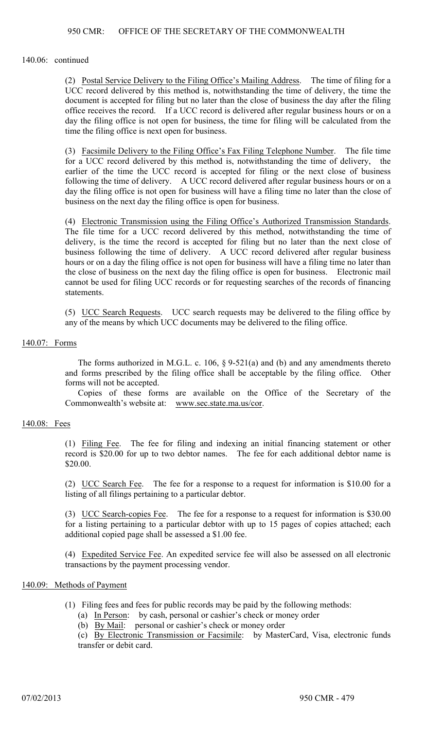#### 140.06: continued

(2) Postal Service Delivery to the Filing Office's Mailing Address. The time of filing for a UCC record delivered by this method is, notwithstanding the time of delivery, the time the document is accepted for filing but no later than the close of business the day after the filing office receives the record. If a UCC record is delivered after regular business hours or on a day the filing office is not open for business, the time for filing will be calculated from the time the filing office is next open for business.

(3) Facsimile Delivery to the Filing Office's Fax Filing Telephone Number. The file time for a UCC record delivered by this method is, notwithstanding the time of delivery, the earlier of the time the UCC record is accepted for filing or the next close of business following the time of delivery. A UCC record delivered after regular business hours or on a day the filing office is not open for business will have a filing time no later than the close of business on the next day the filing office is open for business.

(4) Electronic Transmission using the Filing Office's Authorized Transmission Standards. The file time for a UCC record delivered by this method, notwithstanding the time of delivery, is the time the record is accepted for filing but no later than the next close of business following the time of delivery. A UCC record delivered after regular business hours or on a day the filing office is not open for business will have a filing time no later than the close of business on the next day the filing office is open for business. Electronic mail cannot be used for filing UCC records or for requesting searches of the records of financing statements.

(5) UCC Search Requests. UCC search requests may be delivered to the filing office by any of the means by which UCC documents may be delivered to the filing office.

#### 140.07: Forms

The forms authorized in M.G.L. c. 106, § 9-521(a) and (b) and any amendments thereto and forms prescribed by the filing office shall be acceptable by the filing office. Other forms will not be accepted.

Copies of these forms are available on the Office of the Secretary of the Commonwealth's website at: www.sec.state.ma.us/cor.

#### 140.08: Fees

(1) Filing Fee. The fee for filing and indexing an initial financing statement or other record is \$20.00 for up to two debtor names. The fee for each additional debtor name is \$20.00.

(2) UCC Search Fee. The fee for a response to a request for information is \$10.00 for a listing of all filings pertaining to a particular debtor.

(3) UCC Search-copies Fee. The fee for a response to a request for information is \$30.00 for a listing pertaining to a particular debtor with up to 15 pages of copies attached; each additional copied page shall be assessed a \$1.00 fee.

(4) Expedited Service Fee. An expedited service fee will also be assessed on all electronic transactions by the payment processing vendor.

### 140.09: Methods of Payment

- (1) Filing fees and fees for public records may be paid by the following methods:
	- (a) In Person: by cash, personal or cashier's check or money order
	- (b) By Mail: personal or cashier's check or money order

(c) By Electronic Transmission or Facsimile: by MasterCard, Visa, electronic funds transfer or debit card.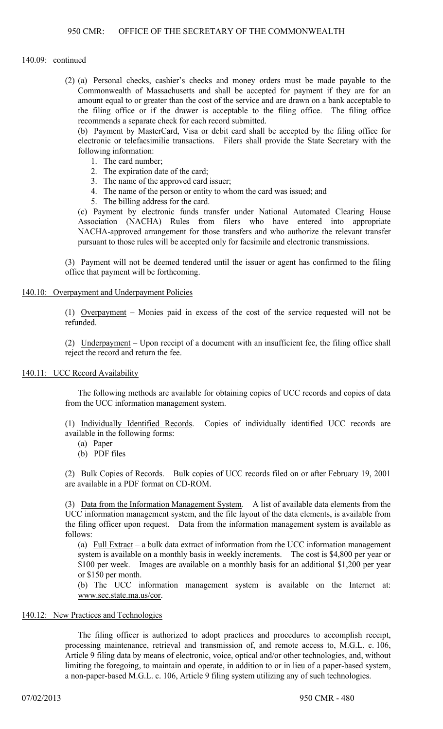#### 140.09: continued

(2) (a) Personal checks, cashier's checks and money orders must be made payable to the Commonwealth of Massachusetts and shall be accepted for payment if they are for an amount equal to or greater than the cost of the service and are drawn on a bank acceptable to the filing office or if the drawer is acceptable to the filing office. The filing office recommends a separate check for each record submitted.

(b) Payment by MasterCard, Visa or debit card shall be accepted by the filing office for electronic or telefacsimilie transactions. Filers shall provide the State Secretary with the following information:

- 1. The card number;
- 2. The expiration date of the card;
- 3. The name of the approved card issuer;
- 4. The name of the person or entity to whom the card was issued; and
- 5. The billing address for the card.

(c) Payment by electronic funds transfer under National Automated Clearing House Association (NACHA) Rules from filers who have entered into appropriate NACHA-approved arrangement for those transfers and who authorize the relevant transfer pursuant to those rules will be accepted only for facsimile and electronic transmissions.

(3) Payment will not be deemed tendered until the issuer or agent has confirmed to the filing office that payment will be forthcoming.

#### 140.10: Overpayment and Underpayment Policies

(1) Overpayment – Monies paid in excess of the cost of the service requested will not be refunded.

(2) Underpayment – Upon receipt of a document with an insufficient fee, the filing office shall reject the record and return the fee.

#### 140.11: UCC Record Availability

The following methods are available for obtaining copies of UCC records and copies of data from the UCC information management system.

(1) Individually Identified Records. Copies of individually identified UCC records are available in the following forms:

- (a) Paper
- (b) PDF files

(2) Bulk Copies of Records. Bulk copies of UCC records filed on or after February 19, 2001 are available in a PDF format on CD-ROM.

(3) Data from the Information Management System. A list of available data elements from the UCC information management system, and the file layout of the data elements, is available from the filing officer upon request. Data from the information management system is available as follows:

(a) Full Extract – a bulk data extract of information from the UCC information management system is available on a monthly basis in weekly increments. The cost is \$4,800 per year or \$100 per week. Images are available on a monthly basis for an additional \$1,200 per year or \$150 per month.

(b) The UCC information management system is available on the Internet at: www.sec.state.ma.us/cor.

### 140.12: New Practices and Technologies

The filing officer is authorized to adopt practices and procedures to accomplish receipt, processing maintenance, retrieval and transmission of, and remote access to, M.G.L. c. 106, Article 9 filing data by means of electronic, voice, optical and/or other technologies, and, without limiting the foregoing, to maintain and operate, in addition to or in lieu of a paper-based system, a non-paper-based M.G.L. c. 106, Article 9 filing system utilizing any of such technologies.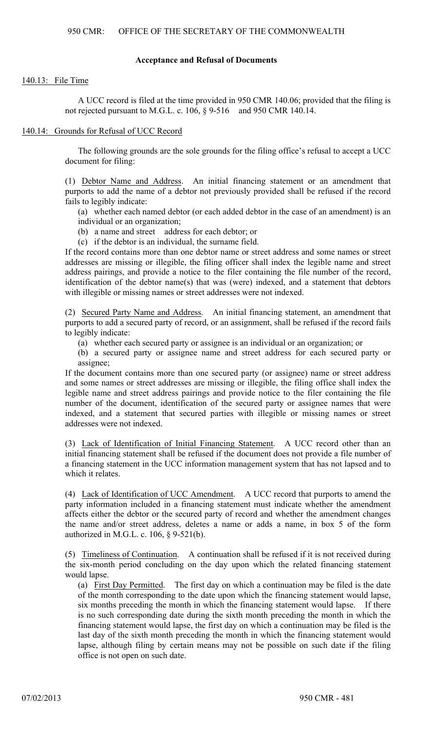### **Acceptance and Refusal of Documents**

#### 140.13: File Time

A UCC record is filed at the time provided in 950 CMR 140.06; provided that the filing is not rejected pursuant to M.G.L. c. 106,  $\S$  9-516 and 950 CMR 140.14.

### 140.14: Grounds for Refusal of UCC Record

The following grounds are the sole grounds for the filing office's refusal to accept a UCC document for filing:

(1) Debtor Name and Address. An initial financing statement or an amendment that purports to add the name of a debtor not previously provided shall be refused if the record fails to legibly indicate:

(a) whether each named debtor (or each added debtor in the case of an amendment) is an individual or an organization;

(b) a name and street address for each debtor; or

(c) if the debtor is an individual, the surname field.

If the record contains more than one debtor name or street address and some names or street addresses are missing or illegible, the filing officer shall index the legible name and street address pairings, and provide a notice to the filer containing the file number of the record, identification of the debtor name(s) that was (were) indexed, and a statement that debtors with illegible or missing names or street addresses were not indexed.

(2) Secured Party Name and Address. An initial financing statement, an amendment that purports to add a secured party of record, or an assignment, shall be refused if the record fails to legibly indicate:

(a) whether each secured party or assignee is an individual or an organization; or

(b) a secured party or assignee name and street address for each secured party or assignee;

If the document contains more than one secured party (or assignee) name or street address and some names or street addresses are missing or illegible, the filing office shall index the legible name and street address pairings and provide notice to the filer containing the file number of the document, identification of the secured party or assignee names that were indexed, and a statement that secured parties with illegible or missing names or street addresses were not indexed.

(3) Lack of Identification of Initial Financing Statement. A UCC record other than an initial financing statement shall be refused if the document does not provide a file number of a financing statement in the UCC information management system that has not lapsed and to which it relates.

(4) Lack of Identification of UCC Amendment. A UCC record that purports to amend the party information included in a financing statement must indicate whether the amendment affects either the debtor or the secured party of record and whether the amendment changes the name and/or street address, deletes a name or adds a name, in box 5 of the form authorized in M.G.L. c. 106, § 9-521(b).

(5) Timeliness of Continuation. A continuation shall be refused if it is not received during the six-month period concluding on the day upon which the related financing statement would lapse.

(a) First Day Permitted. The first day on which a continuation may be filed is the date of the month corresponding to the date upon which the financing statement would lapse, six months preceding the month in which the financing statement would lapse. If there is no such corresponding date during the sixth month preceding the month in which the financing statement would lapse, the first day on which a continuation may be filed is the last day of the sixth month preceding the month in which the financing statement would lapse, although filing by certain means may not be possible on such date if the filing office is not open on such date.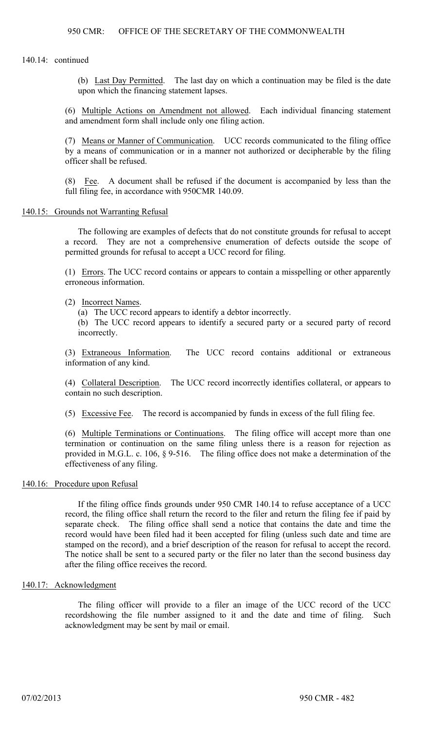140.14: continued

(b) Last Day Permitted. The last day on which a continuation may be filed is the date upon which the financing statement lapses.

(6) Multiple Actions on Amendment not allowed. Each individual financing statement and amendment form shall include only one filing action.

(7) Means or Manner of Communication. UCC records communicated to the filing office by a means of communication or in a manner not authorized or decipherable by the filing officer shall be refused.

(8) Fee. A document shall be refused if the document is accompanied by less than the full filing fee, in accordance with 950CMR 140.09.

### 140.15: Grounds not Warranting Refusal

The following are examples of defects that do not constitute grounds for refusal to accept a record. They are not a comprehensive enumeration of defects outside the scope of permitted grounds for refusal to accept a UCC record for filing.

(1) Errors. The UCC record contains or appears to contain a misspelling or other apparently erroneous information.

(2) Incorrect Names.

(a) The UCC record appears to identify a debtor incorrectly.

(b) The UCC record appears to identify a secured party or a secured party of record incorrectly.

(3) Extraneous Information. The UCC record contains additional or extraneous information of any kind.

(4) Collateral Description. The UCC record incorrectly identifies collateral, or appears to contain no such description.

(5) Excessive Fee. The record is accompanied by funds in excess of the full filing fee.

(6) Multiple Terminations or Continuations. The filing office will accept more than one termination or continuation on the same filing unless there is a reason for rejection as provided in M.G.L. c. 106, § 9-516. The filing office does not make a determination of the effectiveness of any filing.

### 140.16: Procedure upon Refusal

If the filing office finds grounds under 950 CMR 140.14 to refuse acceptance of a UCC record, the filing office shall return the record to the filer and return the filing fee if paid by separate check. The filing office shall send a notice that contains the date and time the record would have been filed had it been accepted for filing (unless such date and time are stamped on the record), and a brief description of the reason for refusal to accept the record. The notice shall be sent to a secured party or the filer no later than the second business day after the filing office receives the record.

# 140.17: Acknowledgment

The filing officer will provide to a filer an image of the UCC record of the UCC recordshowing the file number assigned to it and the date and time of filing. Such acknowledgment may be sent by mail or email.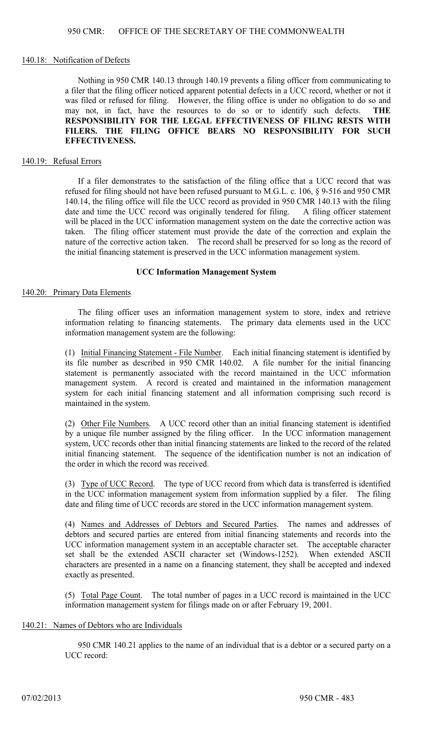#### 140.18: Notification of Defects

Nothing in 950 CMR 140.13 through 140.19 prevents a filing officer from communicating to a filer that the filing officer noticed apparent potential defects in a UCC record, whether or not it was filed or refused for filing. However, the filing office is under no obligation to do so and may not, in fact, have the resources to do so or to identify such defects. **THE RESPONSIBILITY FOR THE LEGAL EFFECTIVENESS OF FILING RESTS WITH FILERS. THE FILING OFFICE BEARS NO RESPONSIBILITY FOR SUCH EFFECTIVENESS.**

#### 140.19: Refusal Errors

If a filer demonstrates to the satisfaction of the filing office that a UCC record that was refused for filing should not have been refused pursuant to M.G.L. c. 106, § 9-516 and 950 CMR 140.14, the filing office will file the UCC record as provided in 950 CMR 140.13 with the filing date and time the UCC record was originally tendered for filing. A filing officer statement will be placed in the UCC information management system on the date the corrective action was taken. The filing officer statement must provide the date of the correction and explain the nature of the corrective action taken. The record shall be preserved for so long as the record of the initial financing statement is preserved in the UCC information management system.

# **UCC Information Management System**

#### 140.20: Primary Data Elements

The filing officer uses an information management system to store, index and retrieve information relating to financing statements. The primary data elements used in the UCC information management system are the following:

(1) Initial Financing Statement - File Number. Each initial financing statement is identified by its file number as described in 950 CMR 140.02. A file number for the initial financing statement is permanently associated with the record maintained in the UCC information management system. A record is created and maintained in the information management system for each initial financing statement and all information comprising such record is maintained in the system.

(2) Other File Numbers. A UCC record other than an initial financing statement is identified by a unique file number assigned by the filing officer. In the UCC information management system, UCC records other than initial financing statements are linked to the record of the related initial financing statement. The sequence of the identification number is not an indication of the order in which the record was received.

(3) Type of UCC Record. The type of UCC record from which data is transferred is identified in the UCC information management system from information supplied by a filer. The filing date and filing time of UCC records are stored in the UCC information management system.

(4) Names and Addresses of Debtors and Secured Parties. The names and addresses of debtors and secured parties are entered from initial financing statements and records into the UCC information management system in an acceptable character set. The acceptable character set shall be the extended ASCII character set (Windows-1252). When extended ASCII characters are presented in a name on a financing statement, they shall be accepted and indexed exactly as presented.

(5) Total Page Count. The total number of pages in a UCC record is maintained in the UCC information management system for filings made on or after February 19, 2001.

# 140.21: Names of Debtors who are Individuals

950 CMR 140.21 applies to the name of an individual that is a debtor or a secured party on a UCC record: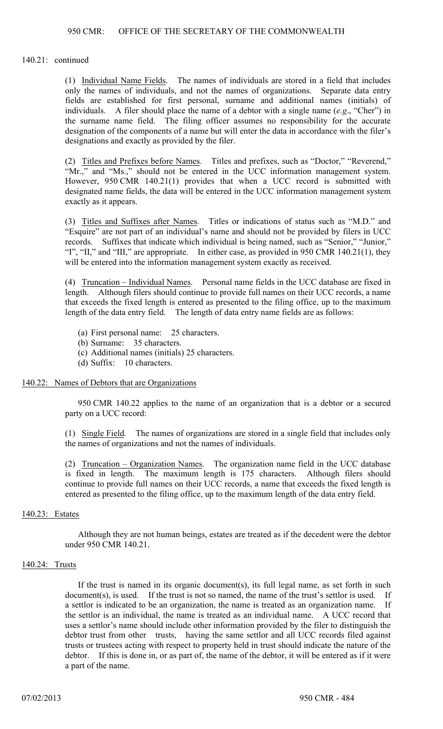140.21: continued

(1) Individual Name Fields. The names of individuals are stored in a field that includes only the names of individuals, and not the names of organizations. Separate data entry fields are established for first personal, surname and additional names (initials) of individuals. A filer should place the name of a debtor with a single name (*e.g*., "Cher") in the surname name field. The filing officer assumes no responsibility for the accurate designation of the components of a name but will enter the data in accordance with the filer's designations and exactly as provided by the filer.

(2) Titles and Prefixes before Names. Titles and prefixes, such as "Doctor," "Reverend," "Mr.," and "Ms.," should not be entered in the UCC information management system. However, 950 CMR 140.21(1) provides that when a UCC record is submitted with designated name fields, the data will be entered in the UCC information management system exactly as it appears.

(3) Titles and Suffixes after Names. Titles or indications of status such as "M.D." and "Esquire" are not part of an individual's name and should not be provided by filers in UCC records. Suffixes that indicate which individual is being named, such as "Senior," "Junior," "I", "II," and "III," are appropriate. In either case, as provided in 950 CMR 140.21(1), they will be entered into the information management system exactly as received.

(4) Truncation – Individual Names. Personal name fields in the UCC database are fixed in length. Although filers should continue to provide full names on their UCC records, a name that exceeds the fixed length is entered as presented to the filing office, up to the maximum length of the data entry field. The length of data entry name fields are as follows:

- (a) First personal name: 25 characters.
- (b) Surname: 35 characters.
- (c) Additional names (initials) 25 characters.
- (d) Suffix: 10 characters.

### 140.22: Names of Debtors that are Organizations

950 CMR 140.22 applies to the name of an organization that is a debtor or a secured party on a UCC record:

(1) Single Field. The names of organizations are stored in a single field that includes only the names of organizations and not the names of individuals.

(2) Truncation – Organization Names. The organization name field in the UCC database is fixed in length. The maximum length is 175 characters. Although filers should continue to provide full names on their UCC records, a name that exceeds the fixed length is entered as presented to the filing office, up to the maximum length of the data entry field.

# 140.23: Estates

Although they are not human beings, estates are treated as if the decedent were the debtor under 950 CMR 140.21.

# 140.24: Trusts

If the trust is named in its organic document(s), its full legal name, as set forth in such document(s), is used. If the trust is not so named, the name of the trust's settlor is used. If a settlor is indicated to be an organization, the name is treated as an organization name. If the settlor is an individual, the name is treated as an individual name. A UCC record that uses a settlor's name should include other information provided by the filer to distinguish the debtor trust from other trusts, having the same settlor and all UCC records filed against trusts or trustees acting with respect to property held in trust should indicate the nature of the debtor. If this is done in, or as part of, the name of the debtor, it will be entered as if it were a part of the name.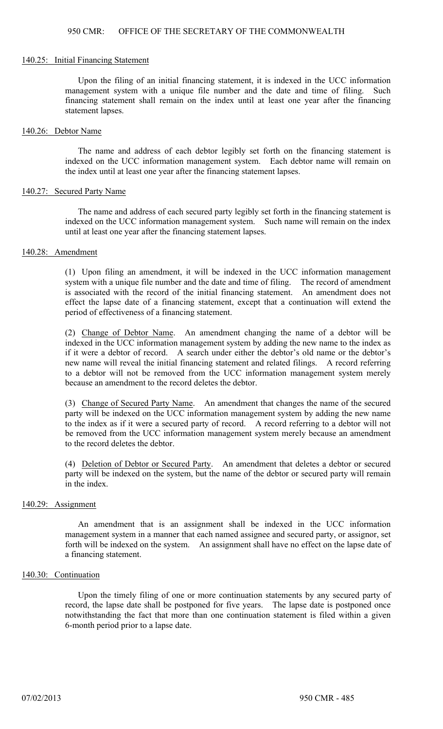#### 140.25: Initial Financing Statement

Upon the filing of an initial financing statement, it is indexed in the UCC information management system with a unique file number and the date and time of filing. Such financing statement shall remain on the index until at least one year after the financing statement lapses.

#### 140.26: Debtor Name

The name and address of each debtor legibly set forth on the financing statement is indexed on the UCC information management system. Each debtor name will remain on the index until at least one year after the financing statement lapses.

#### 140.27: Secured Party Name

The name and address of each secured party legibly set forth in the financing statement is indexed on the UCC information management system. Such name will remain on the index until at least one year after the financing statement lapses.

#### 140.28: Amendment

(1) Upon filing an amendment, it will be indexed in the UCC information management system with a unique file number and the date and time of filing. The record of amendment is associated with the record of the initial financing statement. An amendment does not effect the lapse date of a financing statement, except that a continuation will extend the period of effectiveness of a financing statement.

(2) Change of Debtor Name. An amendment changing the name of a debtor will be indexed in the UCC information management system by adding the new name to the index as if it were a debtor of record. A search under either the debtor's old name or the debtor's new name will reveal the initial financing statement and related filings. A record referring to a debtor will not be removed from the UCC information management system merely because an amendment to the record deletes the debtor.

(3) Change of Secured Party Name. An amendment that changes the name of the secured party will be indexed on the UCC information management system by adding the new name to the index as if it were a secured party of record. A record referring to a debtor will not be removed from the UCC information management system merely because an amendment to the record deletes the debtor.

(4) Deletion of Debtor or Secured Party. An amendment that deletes a debtor or secured party will be indexed on the system, but the name of the debtor or secured party will remain in the index.

### 140.29: Assignment

An amendment that is an assignment shall be indexed in the UCC information management system in a manner that each named assignee and secured party, or assignor, set forth will be indexed on the system. An assignment shall have no effect on the lapse date of a financing statement.

### 140.30: Continuation

Upon the timely filing of one or more continuation statements by any secured party of record, the lapse date shall be postponed for five years. The lapse date is postponed once notwithstanding the fact that more than one continuation statement is filed within a given 6-month period prior to a lapse date.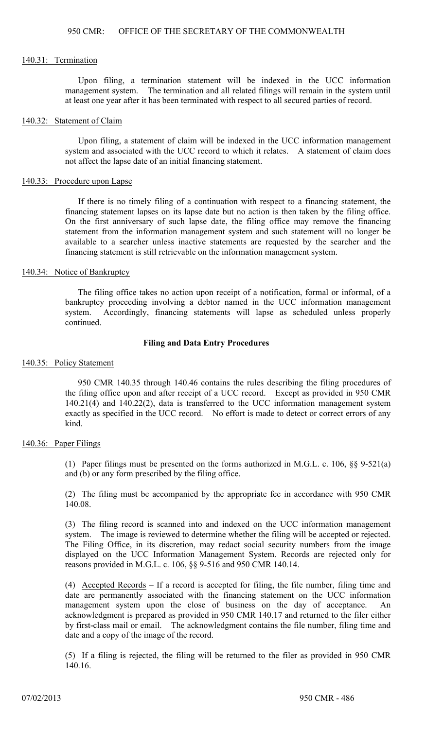#### 140.31: Termination

Upon filing, a termination statement will be indexed in the UCC information management system. The termination and all related filings will remain in the system until at least one year after it has been terminated with respect to all secured parties of record.

#### 140.32: Statement of Claim

Upon filing, a statement of claim will be indexed in the UCC information management system and associated with the UCC record to which it relates. A statement of claim does not affect the lapse date of an initial financing statement.

#### 140.33: Procedure upon Lapse

If there is no timely filing of a continuation with respect to a financing statement, the financing statement lapses on its lapse date but no action is then taken by the filing office. On the first anniversary of such lapse date, the filing office may remove the financing statement from the information management system and such statement will no longer be available to a searcher unless inactive statements are requested by the searcher and the financing statement is still retrievable on the information management system.

# 140.34: Notice of Bankruptcy

The filing office takes no action upon receipt of a notification, formal or informal, of a bankruptcy proceeding involving a debtor named in the UCC information management system. Accordingly, financing statements will lapse as scheduled unless properly continued.

### **Filing and Data Entry Procedures**

#### 140.35: Policy Statement

950 CMR 140.35 through 140.46 contains the rules describing the filing procedures of the filing office upon and after receipt of a UCC record. Except as provided in 950 CMR  $140.21(4)$  and  $140.22(2)$ , data is transferred to the UCC information management system exactly as specified in the UCC record. No effort is made to detect or correct errors of any kind.

### 140.36: Paper Filings

(1) Paper filings must be presented on the forms authorized in M.G.L. c. 106, §§ 9-521(a) and (b) or any form prescribed by the filing office.

(2) The filing must be accompanied by the appropriate fee in accordance with 950 CMR 140.08.

(3) The filing record is scanned into and indexed on the UCC information management system. The image is reviewed to determine whether the filing will be accepted or rejected. The Filing Office, in its discretion, may redact social security numbers from the image displayed on the UCC Information Management System. Records are rejected only for reasons provided in M.G.L. c. 106, §§ 9-516 and 950 CMR 140.14.

(4) Accepted Records – If a record is accepted for filing, the file number, filing time and date are permanently associated with the financing statement on the UCC information management system upon the close of business on the day of acceptance. An acknowledgment is prepared as provided in 950 CMR 140.17 and returned to the filer either by first-class mail or email. The acknowledgment contains the file number, filing time and date and a copy of the image of the record.

(5) If a filing is rejected, the filing will be returned to the filer as provided in 950 CMR 140.16.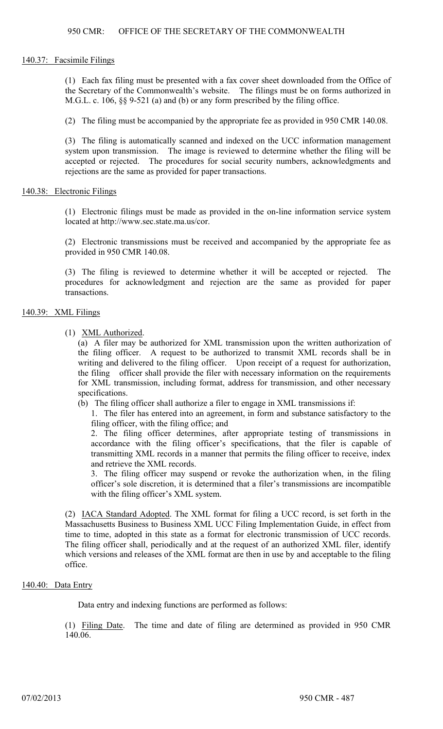#### 140.37: Facsimile Filings

(1) Each fax filing must be presented with a fax cover sheet downloaded from the Office of the Secretary of the Commonwealth's website. The filings must be on forms authorized in M.G.L. c. 106, §§ 9-521 (a) and (b) or any form prescribed by the filing office.

(2) The filing must be accompanied by the appropriate fee as provided in 950 CMR 140.08.

(3) The filing is automatically scanned and indexed on the UCC information management system upon transmission. The image is reviewed to determine whether the filing will be accepted or rejected. The procedures for social security numbers, acknowledgments and rejections are the same as provided for paper transactions.

#### 140.38: Electronic Filings

(1) Electronic filings must be made as provided in the on-line information service system located at http://www.sec.state.ma.us/cor.

(2) Electronic transmissions must be received and accompanied by the appropriate fee as provided in 950 CMR 140.08.

(3) The filing is reviewed to determine whether it will be accepted or rejected. The procedures for acknowledgment and rejection are the same as provided for paper transactions.

### 140.39: XML Filings

(1) XML Authorized.

(a) A filer may be authorized for XML transmission upon the written authorization of the filing officer. A request to be authorized to transmit XML records shall be in writing and delivered to the filing officer. Upon receipt of a request for authorization, the filing officer shall provide the filer with necessary information on the requirements for XML transmission, including format, address for transmission, and other necessary specifications.

(b) The filing officer shall authorize a filer to engage in XML transmissions if:

1. The filer has entered into an agreement, in form and substance satisfactory to the filing officer, with the filing office; and

2. The filing officer determines, after appropriate testing of transmissions in accordance with the filing officer's specifications, that the filer is capable of transmitting XML records in a manner that permits the filing officer to receive, index and retrieve the XML records.

3. The filing officer may suspend or revoke the authorization when, in the filing officer's sole discretion, it is determined that a filer's transmissions are incompatible with the filing officer's XML system.

(2) IACA Standard Adopted. The XML format for filing a UCC record, is set forth in the Massachusetts Business to Business XML UCC Filing Implementation Guide, in effect from time to time, adopted in this state as a format for electronic transmission of UCC records. The filing officer shall, periodically and at the request of an authorized XML filer, identify which versions and releases of the XML format are then in use by and acceptable to the filing office.

### 140.40: Data Entry

Data entry and indexing functions are performed as follows:

(1) Filing Date. The time and date of filing are determined as provided in 950 CMR 140.06.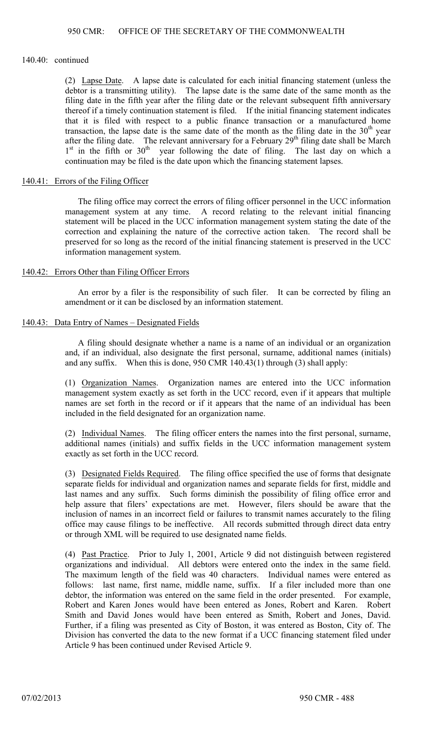### 140.40: continued

(2) Lapse Date. A lapse date is calculated for each initial financing statement (unless the debtor is a transmitting utility). The lapse date is the same date of the same month as the filing date in the fifth year after the filing date or the relevant subsequent fifth anniversary thereof if a timely continuation statement is filed. If the initial financing statement indicates that it is filed with respect to a public finance transaction or a manufactured home transaction, the lapse date is the same date of the month as the filing date in the  $30<sup>th</sup>$  year after the filing date. The relevant anniversary for a February  $29<sup>th</sup>$  filing date shall be March  $1<sup>st</sup>$  in the fifth or  $30<sup>th</sup>$  year following the date of filing. The last day on which a continuation may be filed is the date upon which the financing statement lapses.

# 140.41: Errors of the Filing Officer

The filing office may correct the errors of filing officer personnel in the UCC information management system at any time. A record relating to the relevant initial financing statement will be placed in the UCC information management system stating the date of the correction and explaining the nature of the corrective action taken. The record shall be preserved for so long as the record of the initial financing statement is preserved in the UCC information management system.

### 140.42: Errors Other than Filing Officer Errors

An error by a filer is the responsibility of such filer. It can be corrected by filing an amendment or it can be disclosed by an information statement.

### 140.43: Data Entry of Names – Designated Fields

A filing should designate whether a name is a name of an individual or an organization and, if an individual, also designate the first personal, surname, additional names (initials) and any suffix. When this is done, 950 CMR 140.43(1) through (3) shall apply:

(1) Organization Names. Organization names are entered into the UCC information management system exactly as set forth in the UCC record, even if it appears that multiple names are set forth in the record or if it appears that the name of an individual has been included in the field designated for an organization name.

(2) Individual Names. The filing officer enters the names into the first personal, surname, additional names (initials) and suffix fields in the UCC information management system exactly as set forth in the UCC record.

(3) Designated Fields Required. The filing office specified the use of forms that designate separate fields for individual and organization names and separate fields for first, middle and last names and any suffix. Such forms diminish the possibility of filing office error and help assure that filers' expectations are met. However, filers should be aware that the inclusion of names in an incorrect field or failures to transmit names accurately to the filing office may cause filings to be ineffective. All records submitted through direct data entry or through XML will be required to use designated name fields.

(4) Past Practice. Prior to July 1, 2001, Article 9 did not distinguish between registered organizations and individual. All debtors were entered onto the index in the same field. The maximum length of the field was 40 characters. Individual names were entered as follows: last name, first name, middle name, suffix. If a filer included more than one debtor, the information was entered on the same field in the order presented. For example, Robert and Karen Jones would have been entered as Jones, Robert and Karen. Robert Smith and David Jones would have been entered as Smith, Robert and Jones, David. Further, if a filing was presented as City of Boston, it was entered as Boston, City of. The Division has converted the data to the new format if a UCC financing statement filed under Article 9 has been continued under Revised Article 9.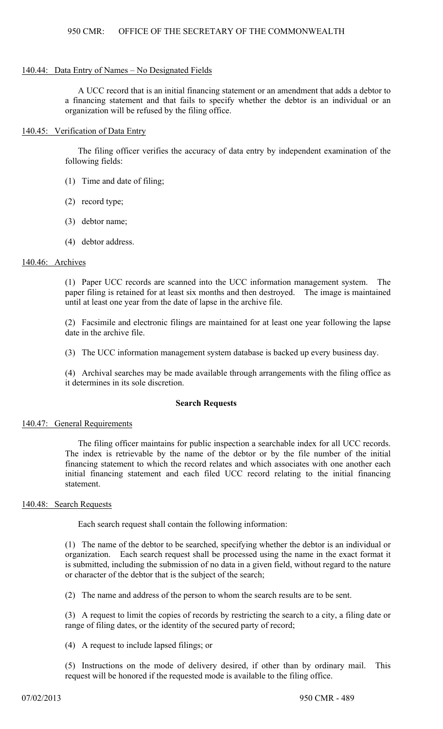#### 140.44: Data Entry of Names – No Designated Fields

A UCC record that is an initial financing statement or an amendment that adds a debtor to a financing statement and that fails to specify whether the debtor is an individual or an organization will be refused by the filing office.

### 140.45: Verification of Data Entry

The filing officer verifies the accuracy of data entry by independent examination of the following fields:

- (1) Time and date of filing;
- (2) record type;
- (3) debtor name;
- (4) debtor address.

### 140.46: Archives

(1) Paper UCC records are scanned into the UCC information management system. The paper filing is retained for at least six months and then destroyed. The image is maintained until at least one year from the date of lapse in the archive file.

(2) Facsimile and electronic filings are maintained for at least one year following the lapse date in the archive file.

(3) The UCC information management system database is backed up every business day.

(4) Archival searches may be made available through arrangements with the filing office as it determines in its sole discretion.

### **Search Requests**

### 140.47: General Requirements

The filing officer maintains for public inspection a searchable index for all UCC records. The index is retrievable by the name of the debtor or by the file number of the initial financing statement to which the record relates and which associates with one another each initial financing statement and each filed UCC record relating to the initial financing statement.

# 140.48: Search Requests

Each search request shall contain the following information:

(1) The name of the debtor to be searched, specifying whether the debtor is an individual or organization. Each search request shall be processed using the name in the exact format it is submitted, including the submission of no data in a given field, without regard to the nature or character of the debtor that is the subject of the search;

(2) The name and address of the person to whom the search results are to be sent.

(3) A request to limit the copies of records by restricting the search to a city, a filing date or range of filing dates, or the identity of the secured party of record;

(4) A request to include lapsed filings; or

(5) Instructions on the mode of delivery desired, if other than by ordinary mail. This request will be honored if the requested mode is available to the filing office.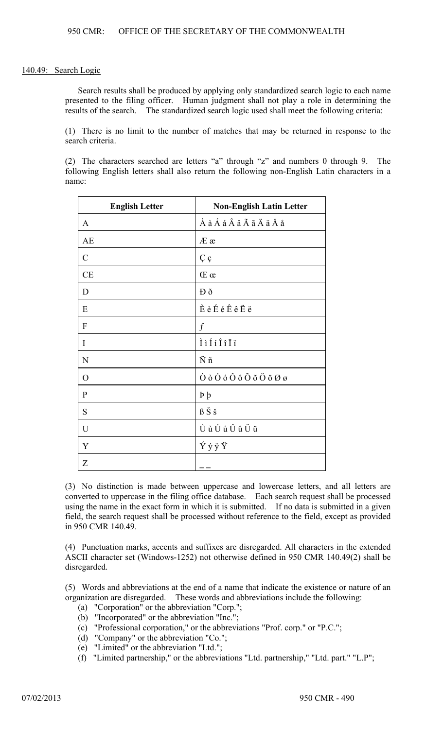#### 140.49: Search Logic

Search results shall be produced by applying only standardized search logic to each name presented to the filing officer. Human judgment shall not play a role in determining the results of the search. The standardized search logic used shall meet the following criteria:

(1) There is no limit to the number of matches that may be returned in response to the search criteria.

(2) The characters searched are letters "a" through "z" and numbers 0 through 9. The following English letters shall also return the following non-English Latin characters in a name:

| <b>English Letter</b> | <b>Non-English Latin Letter</b>                                                                    |
|-----------------------|----------------------------------------------------------------------------------------------------|
| A                     | À à Á á Â â Ã ã Ä ä Å å                                                                            |
| <b>AE</b>             | Æ æ                                                                                                |
| $\mathcal{C}$         | Çç                                                                                                 |
| <b>CE</b>             | Œ œ                                                                                                |
| D                     | Đð                                                                                                 |
| E                     | $\dot{E}$ è $\acute{E}$ é $\hat{E}$ ê $\ddot{E}$ ë                                                 |
| F                     | $\boldsymbol{f}$                                                                                   |
| I                     | $\grave{1}\grave{1}\acute{1}\acute{1}\acute{1}\hat{1}\acute{1}\ddot{1}$                            |
| N                     | $\tilde{N}$ ñ                                                                                      |
| O                     | $\dot{O}$ $\dot{o}$ $\dot{O}$ $\dot{o}$ $\ddot{O}$ $\ddot{o}$ $\ddot{O}$ $\ddot{o}$ $O$ $\ddot{o}$ |
| $\mathbf{P}$          | $\mathbf{p}$                                                                                       |
| S                     | ߊš                                                                                                 |
| $\mathbf U$           | Ù ù Ú ú Û û Ü ü                                                                                    |
| Y                     | ÝýÿŸ                                                                                               |
| Z                     |                                                                                                    |

(3) No distinction is made between uppercase and lowercase letters, and all letters are converted to uppercase in the filing office database. Each search request shall be processed using the name in the exact form in which it is submitted. If no data is submitted in a given field, the search request shall be processed without reference to the field, except as provided in 950 CMR 140.49.

(4) Punctuation marks, accents and suffixes are disregarded. All characters in the extended ASCII character set (Windows-1252) not otherwise defined in 950 CMR 140.49(2) shall be disregarded.

(5) Words and abbreviations at the end of a name that indicate the existence or nature of an organization are disregarded. These words and abbreviations include the following:

- (a) "Corporation" or the abbreviation "Corp.";
- $(b)$  "Incorporated" or the abbreviation "Inc."
- (c) "Professional corporation," or the abbreviations "Prof. corp." or "P.C.";
- (d) "Company" or the abbreviation "Co.";
- (e) "Limited" or the abbreviation "Ltd.";
- (f) "Limited partnership," or the abbreviations "Ltd. partnership," "Ltd. part." "L.P";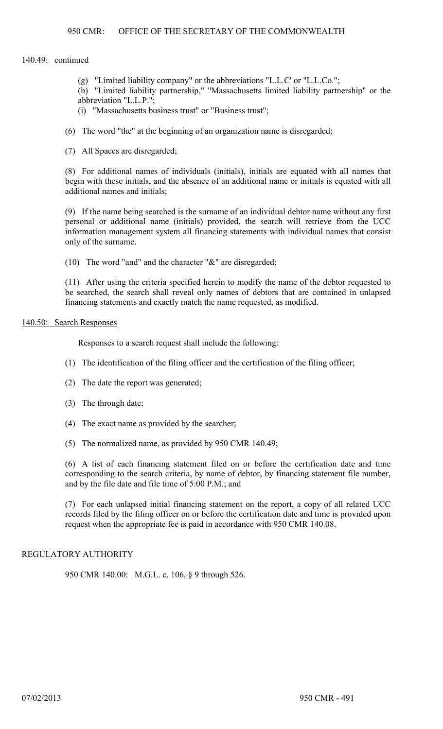### 950 CMR: OFFICE OF THE SECRETARY OF THE COMMONWEALTH

#### 140.49: continued

(g) "Limited liability company" or the abbreviations "L.L.C' or "L.L.Co.";

(h) "Limited liability partnership," "Massachusetts limited liability partnership" or the abbreviation "L.L.P.";

- (i) "Massachusetts business trust" or "Business trust";
- (6) The word "the" at the beginning of an organization name is disregarded;
- (7) All Spaces are disregarded;

(8) For additional names of individuals (initials), initials are equated with all names that begin with these initials, and the absence of an additional name or initials is equated with all additional names and initials;

(9) If the name being searched is the surname of an individual debtor name without any first personal or additional name (initials) provided, the search will retrieve from the UCC information management system all financing statements with individual names that consist only of the surname.

(10) The word "and" and the character "&" are disregarded;

(11) After using the criteria specified herein to modify the name of the debtor requested to be searched, the search shall reveal only names of debtors that are contained in unlapsed financing statements and exactly match the name requested, as modified.

### 140.50: Search Responses

Responses to a search request shall include the following:

- (1) The identification of the filing officer and the certification of the filing officer;
- (2) The date the report was generated;
- (3) The through date;
- (4) The exact name as provided by the searcher;
- (5) The normalized name, as provided by 950 CMR 140.49;

(6) A list of each financing statement filed on or before the certification date and time corresponding to the search criteria, by name of debtor, by financing statement file number, and by the file date and file time of 5:00 P.M.; and

(7) For each unlapsed initial financing statement on the report, a copy of all related UCC records filed by the filing officer on or before the certification date and time is provided upon request when the appropriate fee is paid in accordance with 950 CMR 140.08.

# REGULATORY AUTHORITY

950 CMR 140.00: M.G.L. c. 106, § 9 through 526.